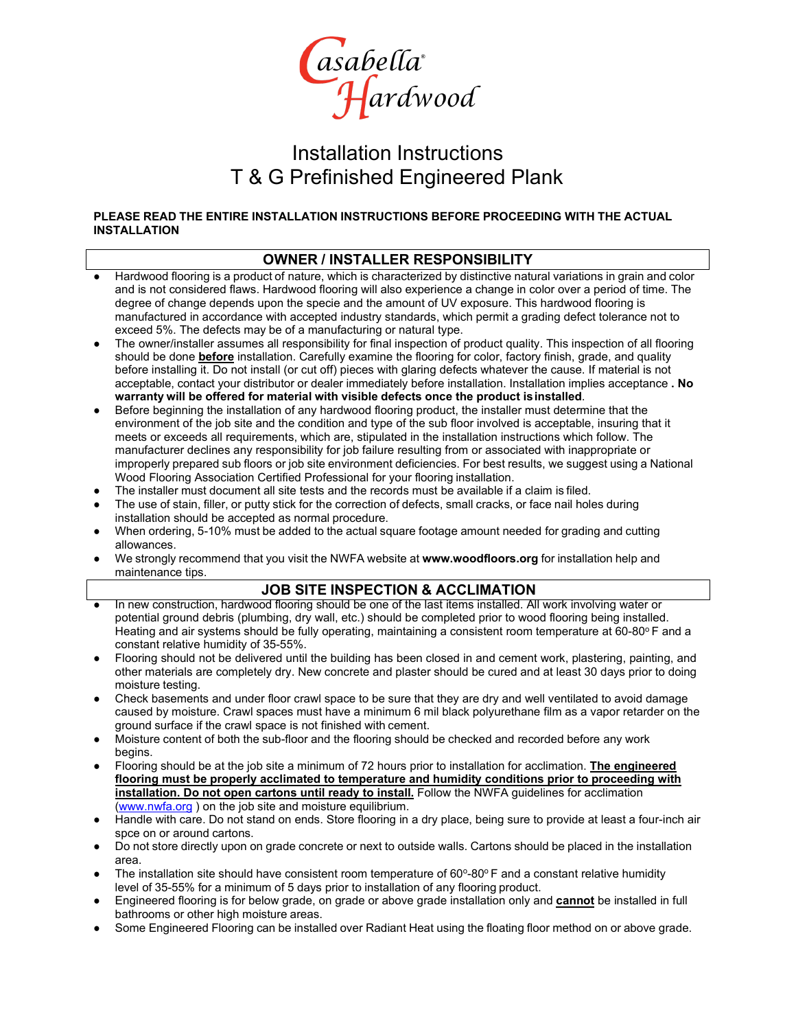

## Installation Instructions T & G Prefinished Engineered Plank

#### **PLEASE READ THE ENTIRE INSTALLATION INSTRUCTIONS BEFORE PROCEEDING WITH THE ACTUAL INSTALLATION**

#### **OWNER / INSTALLER RESPONSIBILITY**

- Hardwood flooring is a product of nature, which is characterized by distinctive natural variations in grain and color and is not considered flaws. Hardwood flooring will also experience a change in color over a period of time. The degree of change depends upon the specie and the amount of UV exposure. This hardwood flooring is manufactured in accordance with accepted industry standards, which permit a grading defect tolerance not to exceed 5%. The defects may be of a manufacturing or natural type.
- The owner/installer assumes all responsibility for final inspection of product quality. This inspection of all flooring should be done **before** installation. Carefully examine the flooring for color, factory finish, grade, and quality before installing it. Do not install (or cut off) pieces with glaring defects whatever the cause. If material is not acceptable, contact your distributor or dealer immediately before installation. Installation implies acceptance **. No warranty will be offered for material with visible defects once the product isinstalled**.
- Before beginning the installation of any hardwood flooring product, the installer must determine that the environment of the job site and the condition and type of the sub floor involved is acceptable, insuring that it meets or exceeds all requirements, which are, stipulated in the installation instructions which follow. The manufacturer declines any responsibility for job failure resulting from or associated with inappropriate or improperly prepared sub floors or job site environment deficiencies. For best results, we suggest using a National Wood Flooring Association Certified Professional for your flooring installation.
- The installer must document all site tests and the records must be available if a claim is filed.
- The use of stain, filler, or putty stick for the correction of defects, small cracks, or face nail holes during installation should be accepted as normal procedure.
- When ordering, 5-10% must be added to the actual square footage amount needed for grading and cutting allowances.
- We strongly recommend that you visit the NWFA website at [www.woodfloors.org](http://www.woodfloors.org/) for installation help and maintenance tips.

#### **JOB SITE INSPECTION & ACCLIMATION**

- In new construction, hardwood flooring should be one of the last items installed. All work involving water or potential ground debris (plumbing, dry wall, etc.) should be completed prior to wood flooring being installed. Heating and air systems should be fully operating, maintaining a consistent room temperature at  $60-80^\circ$  F and a constant relative humidity of 35-55%.
- Flooring should not be delivered until the building has been closed in and cement work, plastering, painting, and other materials are completely dry. New concrete and plaster should be cured and at least 30 days prior to doing moisture testing.
- Check basements and under floor crawl space to be sure that they are dry and well ventilated to avoid damage caused by moisture. Crawl spaces must have a minimum 6 mil black polyurethane film as a vapor retarder on the ground surface if the crawl space is not finished with cement.
- Moisture content of both the sub-floor and the flooring should be checked and recorded before any work begins.
- *●* Flooring should be at the job site a minimum of 72 hours prior to installation for acclimation. **The engineered flooring must be properly acclimated to temperature and humidity conditions prior to proceeding with installation. Do not open cartons until ready to install.** Follow the NWFA guidelines for acclimation [\(www.nwfa.org](http://www.nwfa.org/) ) on the job site and moisture equilibrium.
- Handle with care. Do not stand on ends. Store flooring in a dry place, being sure to provide at least a four-inch air spce on or around cartons.
- Do not store directly upon on grade concrete or next to outside walls. Cartons should be placed in the installation area.
- The installation site should have consistent room temperature of 60°-80° F and a constant relative humidity level of 35-55% for a minimum of 5 days prior to installation of any flooring product.
- Engineered flooring is for below grade, on grade or above grade installation only and **cannot** be installed in full bathrooms or other high moisture areas.
- Some Engineered Flooring can be installed over Radiant Heat using the floating floor method on or above grade.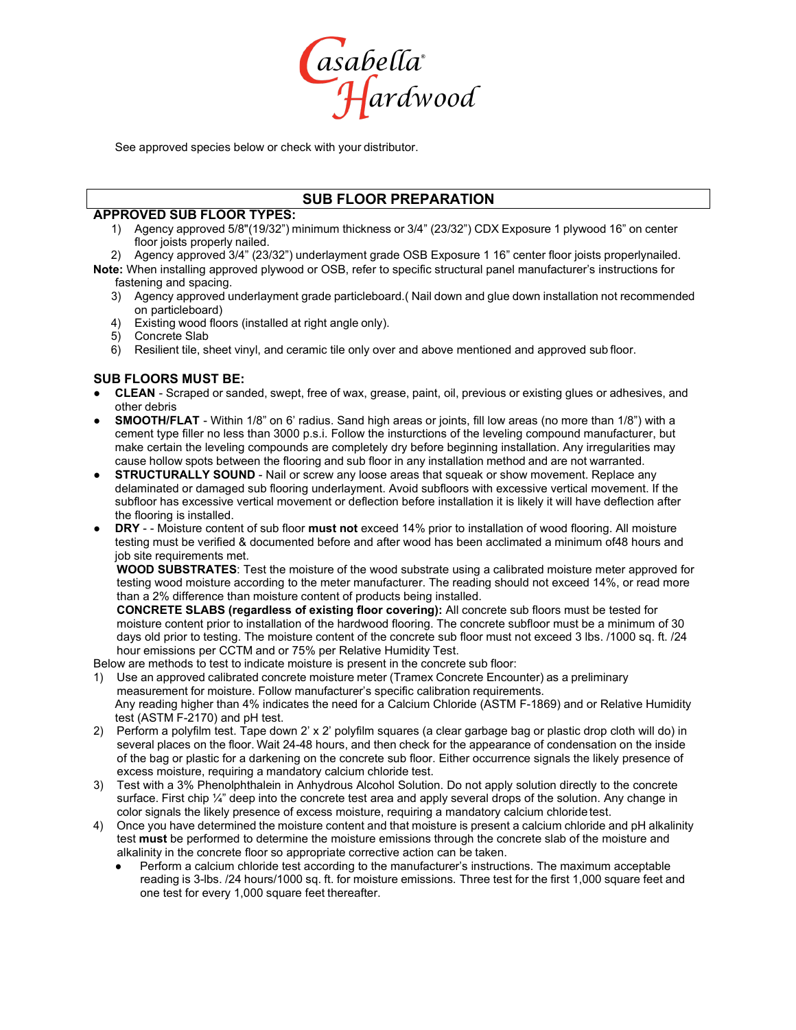

See approved species below or check with your distributor.

#### **SUB FLOOR PREPARATION**

#### **APPROVED SUB FLOOR TYPES:**

- 1) Agency approved 5/8"(19/32") minimum thickness or 3/4" (23/32") CDX Exposure 1 plywood 16" on center floor joists properly nailed.
- 2) Agency approved 3/4" (23/32") underlayment grade OSB Exposure 1 16" center floor joists properlynailed. **Note:** When installing approved plywood or OSB, refer to specific structural panel manufacturer's instructions for fastening and spacing.
	- 3) Agency approved underlayment grade particleboard.( Nail down and glue down installation not recommended on particleboard)
	- 4) Existing wood floors (installed at right angle only).
	- Concrete Slab
	- 6) Resilient tile, sheet vinyl, and ceramic tile only over and above mentioned and approved sub floor.

#### **SUB FLOORS MUST BE:**

- **● CLEAN** Scraped or sanded, swept, free of wax, grease, paint, oil, previous or existing glues or adhesives, and other debris
- **SMOOTH/FLAT** Within 1/8" on 6' radius. Sand high areas or joints, fill low areas (no more than 1/8") with a cement type filler no less than 3000 p.s.i. Follow the insturctions of the leveling compound manufacturer, but make certain the leveling compounds are completely dry before beginning installation. Any irregularities may cause hollow spots between the flooring and sub floor in any installation method and are not warranted.
- **STRUCTURALLY SOUND Nail or screw any loose areas that squeak or show movement. Replace any** delaminated or damaged sub flooring underlayment. Avoid subfloors with excessive vertical movement. If the subfloor has excessive vertical movement or deflection before installation it is likely it will have deflection after the flooring is installed.
- **DRY** - Moisture content of sub floor **must not** exceed 14% prior to installation of wood flooring. All moisture testing must be verified & documented before and after wood has been acclimated a minimum of48 hours and job site requirements met.

**WOOD SUBSTRATES**: Test the moisture of the wood substrate using a calibrated moisture meter approved for testing wood moisture according to the meter manufacturer. The reading should not exceed 14%, or read more than a 2% difference than moisture content of products being installed.

**CONCRETE SLABS (regardless of existing floor covering):** All concrete sub floors must be tested for moisture content prior to installation of the hardwood flooring. The concrete subfloor must be a minimum of 30 days old prior to testing. The moisture content of the concrete sub floor must not exceed 3 lbs. /1000 sq. ft. /24 hour emissions per CCTM and or 75% per Relative Humidity Test.

Below are methods to test to indicate moisture is present in the concrete sub floor:

- 1) Use an approved calibrated concrete moisture meter (Tramex Concrete Encounter) as a preliminary measurement for moisture. Follow manufacturer's specific calibration requirements. Any reading higher than 4% indicates the need for a Calcium Chloride (ASTM F-1869) and or Relative Humidity test (ASTM F-2170) and pH test.
- 2) Perform a polyfilm test. Tape down 2' x 2' polyfilm squares (a clear garbage bag or plastic drop cloth will do) in several places on the floor. Wait 24-48 hours, and then check for the appearance of condensation on the inside of the bag or plastic for a darkening on the concrete sub floor. Either occurrence signals the likely presence of excess moisture, requiring a mandatory calcium chloride test.
- 3) Test with a 3% Phenolphthalein in Anhydrous Alcohol Solution. Do not apply solution directly to the concrete surface. First chip ¼" deep into the concrete test area and apply several drops of the solution. Any change in color signals the likely presence of excess moisture, requiring a mandatory calcium chloride test.
- 4) Once you have determined the moisture content and that moisture is present a calcium chloride and pH alkalinity test **must** be performed to determine the moisture emissions through the concrete slab of the moisture and alkalinity in the concrete floor so appropriate corrective action can be taken.
	- Perform a calcium chloride test according to the manufacturer's instructions. The maximum acceptable reading is 3-lbs. /24 hours/1000 sq. ft. for moisture emissions. Three test for the first 1,000 square feet and one test for every 1,000 square feet thereafter.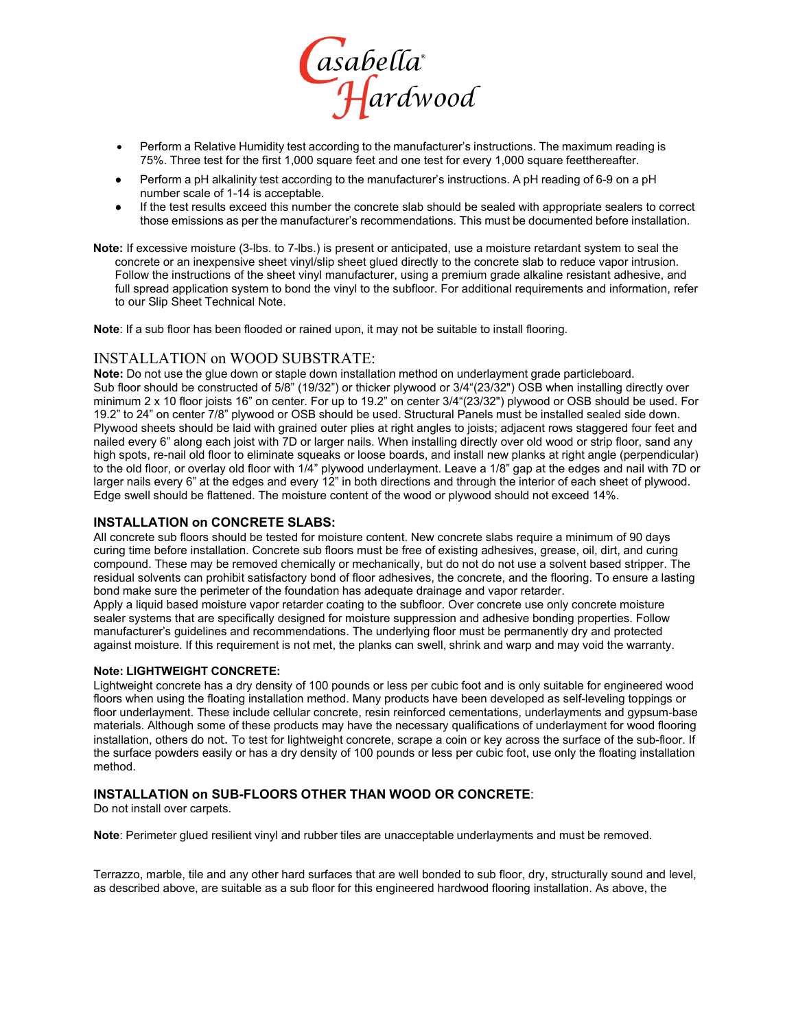

- Perform a Relative Humidity test according to the manufacturer's instructions. The maximum reading is 75%. Three test for the first 1,000 square feet and one test for every 1,000 square feetthereafter.
- Perform a pH alkalinity test according to the manufacturer's instructions. A pH reading of 6-9 on a pH number scale of 1-14 is acceptable.
- If the test results exceed this number the concrete slab should be sealed with appropriate sealers to correct those emissions as per the manufacturer's recommendations. This must be documented before installation.

**Note:** If excessive moisture (3-lbs. to 7-lbs.) is present or anticipated, use a moisture retardant system to seal the concrete or an inexpensive sheet vinyl/slip sheet glued directly to the concrete slab to reduce vapor intrusion. Follow the instructions of the sheet vinyl manufacturer, using a premium grade alkaline resistant adhesive, and full spread application system to bond the vinyl to the subfloor. For additional requirements and information, refer to our Slip Sheet Technical Note.

**Note**: If a sub floor has been flooded or rained upon, it may not be suitable to install flooring.

#### INSTALLATION on WOOD SUBSTRATE:

**Note:** Do not use the glue down or staple down installation method on underlayment grade particleboard. Sub floor should be constructed of 5/8" (19/32") or thicker plywood or 3/4"(23/32") OSB when installing directly over minimum 2 x 10 floor joists 16" on center. For up to 19.2" on center 3/4"(23/32") plywood or OSB should be used. For 19.2" to 24" on center 7/8" plywood or OSB should be used. Structural Panels must be installed sealed side down. Plywood sheets should be laid with grained outer plies at right angles to joists; adjacent rows staggered four feet and nailed every 6" along each joist with 7D or larger nails. When installing directly over old wood or strip floor, sand any high spots, re-nail old floor to eliminate squeaks or loose boards, and install new planks at right angle (perpendicular) to the old floor, or overlay old floor with 1/4" plywood underlayment. Leave a 1/8" gap at the edges and nail with 7D or larger nails every 6" at the edges and every 12" in both directions and through the interior of each sheet of plywood. Edge swell should be flattened. The moisture content of the wood or plywood should not exceed 14%.

#### **INSTALLATION on CONCRETE SLABS:**

All concrete sub floors should be tested for moisture content. New concrete slabs require a minimum of 90 days curing time before installation. Concrete sub floors must be free of existing adhesives, grease, oil, dirt, and curing compound. These may be removed chemically or mechanically, but do not do not use a solvent based stripper. The residual solvents can prohibit satisfactory bond of floor adhesives, the concrete, and the flooring. To ensure a lasting bond make sure the perimeter of the foundation has adequate drainage and vapor retarder.

Apply a liquid based moisture vapor retarder coating to the subfloor. Over concrete use only concrete moisture sealer systems that are specifically designed for moisture suppression and adhesive bonding properties. Follow manufacturer's guidelines and recommendations. The underlying floor must be permanently dry and protected against moisture. If this requirement is not met, the planks can swell, shrink and warp and may void the warranty.

#### **Note: LIGHTWEIGHT CONCRETE:**

Lightweight concrete has a dry density of 100 pounds or less per cubic foot and is only suitable for engineered wood floors when using the floating installation method. Many products have been developed as self-leveling toppings or floor underlayment. These include cellular concrete, resin reinforced cementations, underlayments and gypsum-base materials. Although some of these products may have the necessary qualifications of underlayment for wood flooring installation, others do not. To test for lightweight concrete, scrape a coin or key across the surface of the sub-floor. If the surface powders easily or has a dry density of 100 pounds or less per cubic foot, use only the floating installation method.

#### **INSTALLATION on SUB-FLOORS OTHER THAN WOOD OR CONCRETE**:

Do not install over carpets.

**Note**: Perimeter glued resilient vinyl and rubber tiles are unacceptable underlayments and must be removed.

Terrazzo, marble, tile and any other hard surfaces that are well bonded to sub floor, dry, structurally sound and level, as described above, are suitable as a sub floor for this engineered hardwood flooring installation. As above, the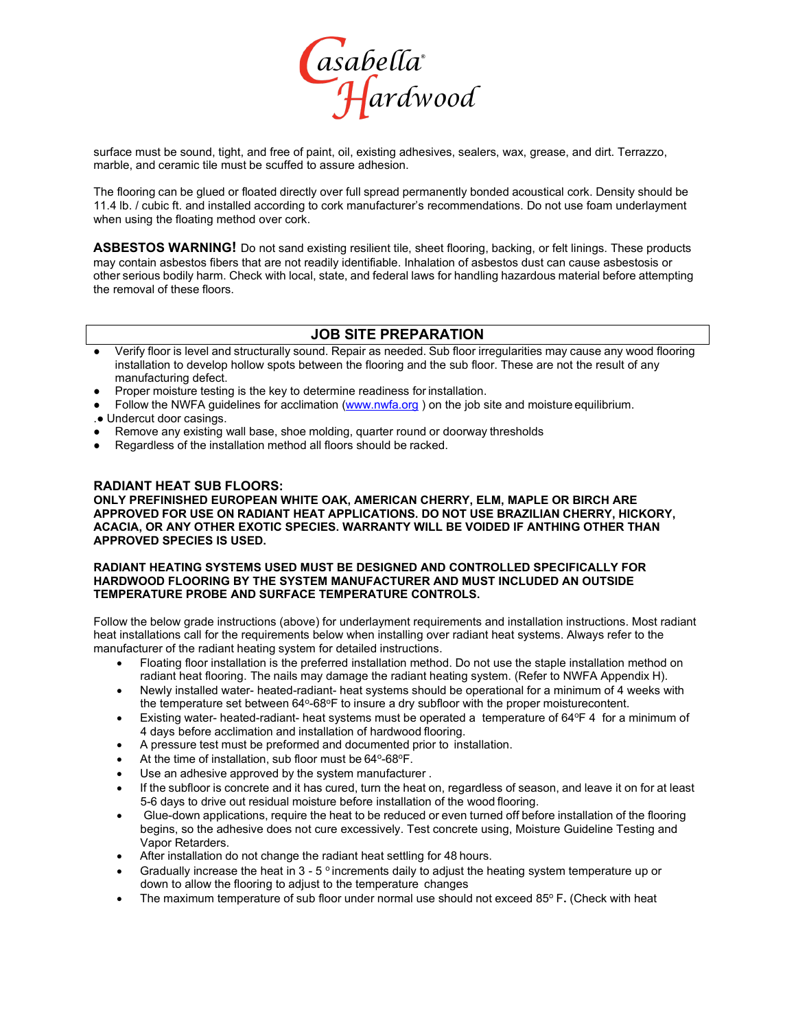

surface must be sound, tight, and free of paint, oil, existing adhesives, sealers, wax, grease, and dirt. Terrazzo, marble, and ceramic tile must be scuffed to assure adhesion.

The flooring can be glued or floated directly over full spread permanently bonded acoustical cork. Density should be 11.4 lb. / cubic ft. and installed according to cork manufacturer's recommendations. Do not use foam underlayment when using the floating method over cork.

**ASBESTOS WARNING!** Do not sand existing resilient tile, sheet flooring, backing, or felt linings. These products may contain asbestos fibers that are not readily identifiable. Inhalation of asbestos dust can cause asbestosis or other serious bodily harm. Check with local, state, and federal laws for handling hazardous material before attempting the removal of these floors.

#### **JOB SITE PREPARATION**

- Verify floor is level and structurally sound. Repair as needed. Sub floor irregularities may cause any wood flooring installation to develop hollow spots between the flooring and the sub floor. These are not the result of any manufacturing defect.
- Proper moisture testing is the key to determine readiness for installation.
- Follow the NWFA guidelines for acclimation [\(www.nwfa.org](http://www.nwfa.org/) ) on the job site and moisture equilibrium.
- .● Undercut door casings.
- Remove any existing wall base, shoe molding, quarter round or doorway thresholds
- Regardless of the installation method all floors should be racked.

#### **RADIANT HEAT SUB FLOORS:**

**ONLY PREFINISHED EUROPEAN WHITE OAK, AMERICAN CHERRY, ELM, MAPLE OR BIRCH ARE APPROVED FOR USE ON RADIANT HEAT APPLICATIONS. DO NOT USE BRAZILIAN CHERRY, HICKORY, ACACIA, OR ANY OTHER EXOTIC SPECIES. WARRANTY WILL BE VOIDED IF ANTHING OTHER THAN APPROVED SPECIES IS USED.**

#### **RADIANT HEATING SYSTEMS USED MUST BE DESIGNED AND CONTROLLED SPECIFICALLY FOR HARDWOOD FLOORING BY THE SYSTEM MANUFACTURER AND MUST INCLUDED AN OUTSIDE TEMPERATURE PROBE AND SURFACE TEMPERATURE CONTROLS.**

Follow the below grade instructions (above) for underlayment requirements and installation instructions. Most radiant heat installations call for the requirements below when installing over radiant heat systems. Always refer to the manufacturer of the radiant heating system for detailed instructions.

- Floating floor installation is the preferred installation method. Do not use the staple installation method on radiant heat flooring. The nails may damage the radiant heating system. (Refer to NWFA Appendix H).
- Newly installed water- heated-radiant- heat systems should be operational for a minimum of 4 weeks with the temperature set between  $64^{\circ}$ -68 $^{\circ}$ F to insure a dry subfloor with the proper moisturecontent.
- Existing water- heated-radiant- heat systems must be operated a temperature of 64°F 4 for a minimum of 4 days before acclimation and installation of hardwood flooring.
- A pressure test must be preformed and documented prior to installation.
- At the time of installation, sub floor must be 64°-68°F.
- Use an adhesive approved by the system manufacturer.
- If the subfloor is concrete and it has cured, turn the heat on, regardless of season, and leave it on for at least 5-6 days to drive out residual moisture before installation of the wood flooring.
- Glue-down applications, require the heat to be reduced or even turned off before installation of the flooring begins, so the adhesive does not cure excessively. Test concrete using, Moisture Guideline Testing and Vapor Retarders.
- After installation do not change the radiant heat settling for 48 hours.
- Gradually increase the heat in  $3 5$  ° increments daily to adjust the heating system temperature up or down to allow the flooring to adjust to the temperature changes
- The maximum temperature of sub floor under normal use should not exceed 85° F. (Check with heat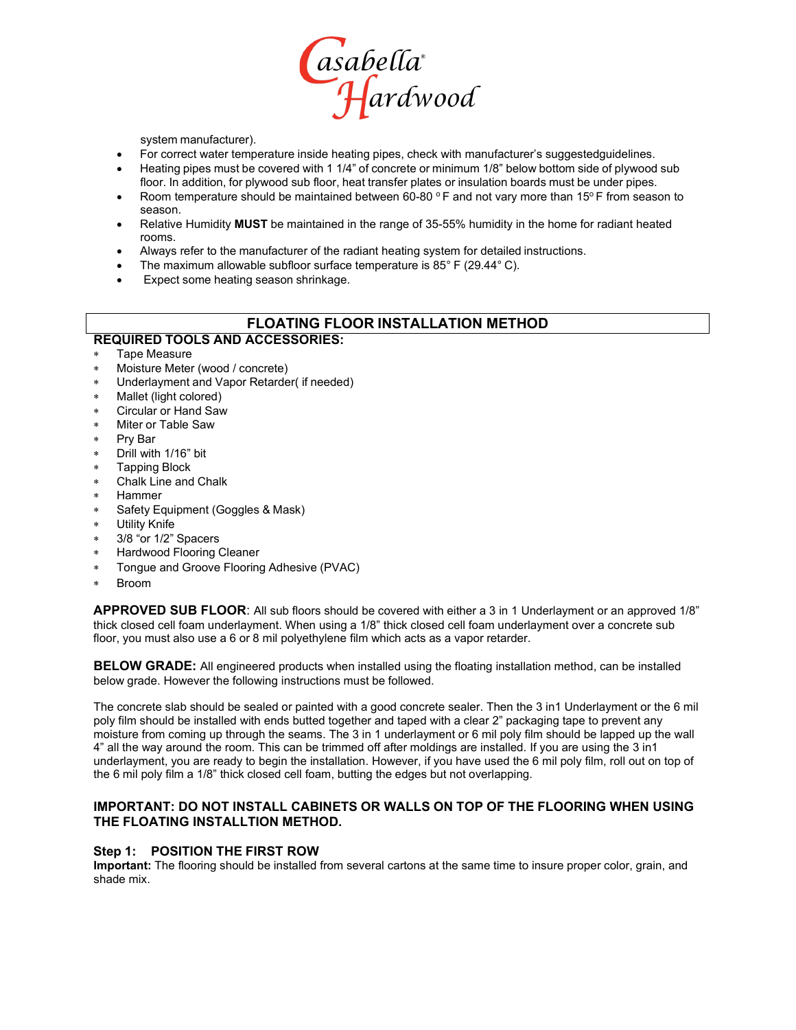

system manufacturer).

- For correct water temperature inside heating pipes, check with manufacturer's suggestedguidelines.
- Heating pipes must be covered with 1 1/4" of concrete or minimum 1/8" below bottom side of plywood sub floor. In addition, for plywood sub floor, heat transfer plates or insulation boards must be under pipes.
- Room temperature should be maintained between 60-80  $\circ$  F and not vary more than 15 $\circ$  F from season to season.
- Relative Humidity **MUST** be maintained in the range of 35-55% humidity in the home for radiant heated rooms.
- Always refer to the manufacturer of the radiant heating system for detailed instructions.
- The maximum allowable subfloor surface temperature is 85° F (29.44° C).
- Expect some heating season shrinkage.

#### **FLOATING FLOOR INSTALLATION METHOD**

#### **REQUIRED TOOLS AND ACCESSORIES:**

- Tape Measure
- Moisture Meter (wood / concrete)
- Underlayment and Vapor Retarder( if needed)
- Mallet (light colored)
- Circular or Hand Saw
- Miter or Table Saw
- ∗ Pry Bar
- Drill with 1/16" bit
- ∗ Tapping Block
- ∗ Chalk Line and Chalk
- ∗ Hammer
- Safety Equipment (Goggles & Mask)
- **Utility Knife**
- 3/8 "or 1/2" Spacers
- Hardwood Flooring Cleaner
- Tongue and Groove Flooring Adhesive (PVAC)
- ∗ Broom

**APPROVED SUB FLOOR**: All sub floors should be covered with either a 3 in 1 Underlayment or an approved 1/8" thick closed cell foam underlayment. When using a 1/8" thick closed cell foam underlayment over a concrete sub floor, you must also use a 6 or 8 mil polyethylene film which acts as a vapor retarder.

**BELOW GRADE:** All engineered products when installed using the floating installation method, can be installed below grade. However the following instructions must be followed.

The concrete slab should be sealed or painted with a good concrete sealer. Then the 3 in1 Underlayment or the 6 mil poly film should be installed with ends butted together and taped with a clear 2" packaging tape to prevent any moisture from coming up through the seams. The 3 in 1 underlayment or 6 mil poly film should be lapped up the wall 4" all the way around the room. This can be trimmed off after moldings are installed. If you are using the 3 in1 underlayment, you are ready to begin the installation. However, if you have used the 6 mil poly film, roll out on top of the 6 mil poly film a 1/8" thick closed cell foam, butting the edges but not overlapping.

#### **IMPORTANT: DO NOT INSTALL CABINETS OR WALLS ON TOP OF THE FLOORING WHEN USING THE FLOATING INSTALLTION METHOD.**

#### **Step 1: POSITION THE FIRST ROW**

**Important:** The flooring should be installed from several cartons at the same time to insure proper color, grain, and shade mix.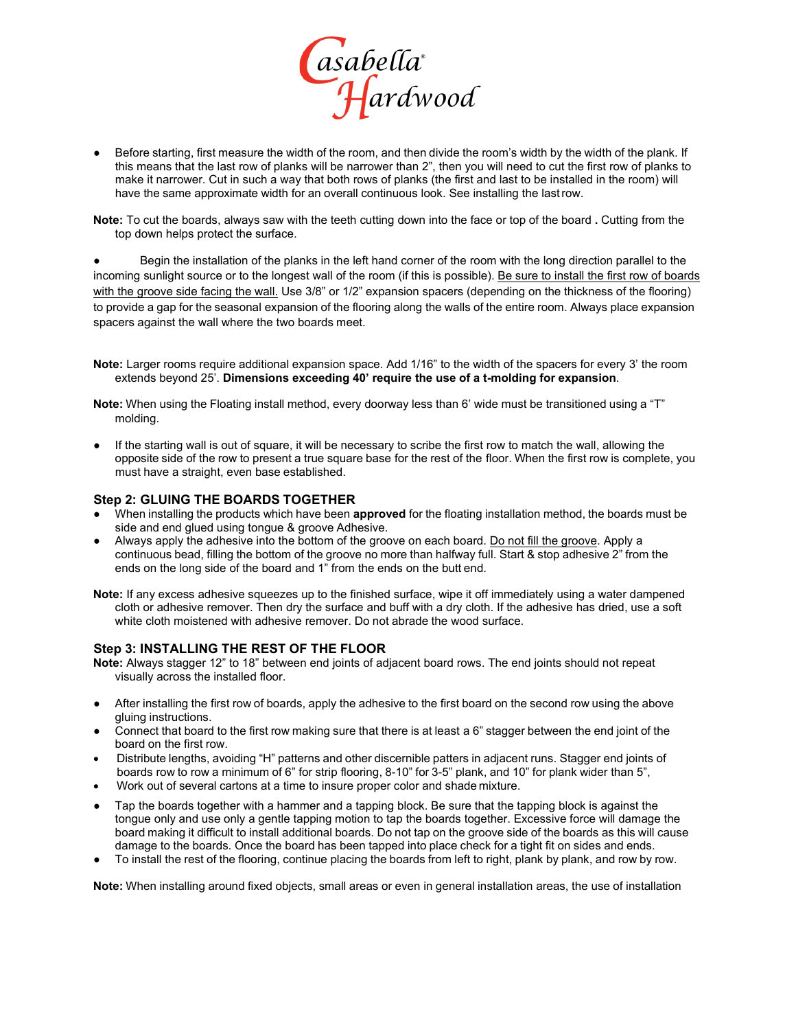

● Before starting, first measure the width of the room, and then divide the room's width by the width of the plank. If this means that the last row of planks will be narrower than 2", then you will need to cut the first row of planks to make it narrower. Cut in such a way that both rows of planks (the first and last to be installed in the room) will have the same approximate width for an overall continuous look. See installing the lastrow.

**Note:** To cut the boards, always saw with the teeth cutting down into the face or top of the board **.** Cutting from the top down helps protect the surface.

Begin the installation of the planks in the left hand corner of the room with the long direction parallel to the incoming sunlight source or to the longest wall of the room (if this is possible). Be sure to install the first row of boards with the groove side facing the wall. Use 3/8" or 1/2" expansion spacers (depending on the thickness of the flooring) to provide a gap for the seasonal expansion of the flooring along the walls of the entire room. Always place expansion spacers against the wall where the two boards meet.

**Note:** Larger rooms require additional expansion space. Add 1/16" to the width of the spacers for every 3' the room extends beyond 25'. **Dimensions exceeding 40' require the use of a t-molding for expansion**.

**Note:** When using the Floating install method, every doorway less than 6' wide must be transitioned using a "T" molding.

If the starting wall is out of square, it will be necessary to scribe the first row to match the wall, allowing the opposite side of the row to present a true square base for the rest of the floor. When the first row is complete, you must have a straight, even base established.

#### **Step 2: GLUING THE BOARDS TOGETHER**

- When installing the products which have been **approved** for the floating installation method, the boards must be side and end glued using tongue & groove Adhesive.
- Always apply the adhesive into the bottom of the groove on each board. Do not fill the groove. Apply a continuous bead, filling the bottom of the groove no more than halfway full. Start & stop adhesive 2" from the ends on the long side of the board and 1" from the ends on the butt end.

**Note:** If any excess adhesive squeezes up to the finished surface, wipe it off immediately using a water dampened cloth or adhesive remover. Then dry the surface and buff with a dry cloth. If the adhesive has dried, use a soft white cloth moistened with adhesive remover. Do not abrade the wood surface.

#### **Step 3: INSTALLING THE REST OF THE FLOOR**

**Note:** Always stagger 12" to 18" between end joints of adjacent board rows. The end joints should not repeat visually across the installed floor.

- After installing the first row of boards, apply the adhesive to the first board on the second row using the above gluing instructions.
- Connect that board to the first row making sure that there is at least a 6" stagger between the end joint of the board on the first row.
- Distribute lengths, avoiding "H" patterns and other discernible patters in adjacent runs. Stagger end joints of boards row to row a minimum of 6" for strip flooring, 8-10" for 3-5" plank, and 10" for plank wider than 5",
- Work out of several cartons at a time to insure proper color and shade mixture.
- Tap the boards together with a hammer and a tapping block. Be sure that the tapping block is against the tongue only and use only a gentle tapping motion to tap the boards together. Excessive force will damage the board making it difficult to install additional boards. Do not tap on the groove side of the boards as this will cause damage to the boards. Once the board has been tapped into place check for a tight fit on sides and ends.
- To install the rest of the flooring, continue placing the boards from left to right, plank by plank, and row by row.

**Note:** When installing around fixed objects, small areas or even in general installation areas, the use of installation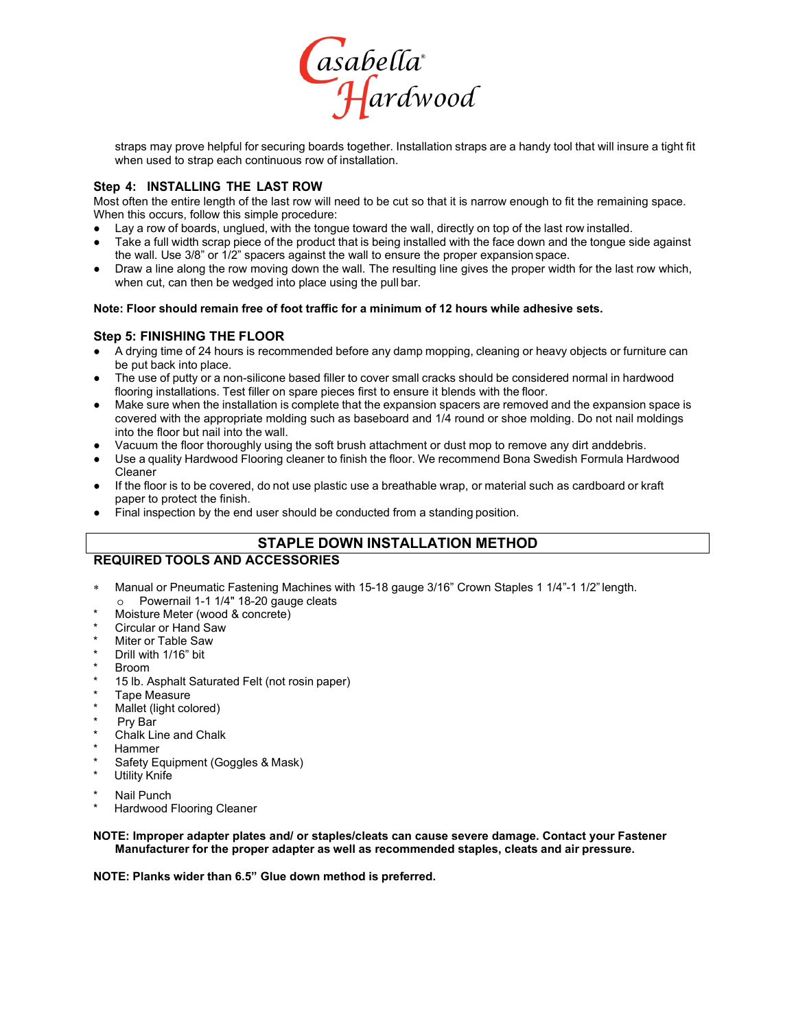

straps may prove helpful for securing boards together. Installation straps are a handy tool that will insure a tight fit when used to strap each continuous row of installation.

#### **Step 4: INSTALLING THE LAST ROW**

Most often the entire length of the last row will need to be cut so that it is narrow enough to fit the remaining space. When this occurs, follow this simple procedure:

- Lay a row of boards, unglued, with the tongue toward the wall, directly on top of the last row installed.
- Take a full width scrap piece of the product that is being installed with the face down and the tongue side against the wall. Use 3/8" or 1/2" spacers against the wall to ensure the proper expansion space.
- Draw a line along the row moving down the wall. The resulting line gives the proper width for the last row which, when cut, can then be wedged into place using the pull bar.

#### **Note: Floor should remain free of foot traffic for a minimum of 12 hours while adhesive sets.**

#### **Step 5: FINISHING THE FLOOR**

- A drying time of 24 hours is recommended before any damp mopping, cleaning or heavy objects or furniture can be put back into place.
- The use of putty or a non-silicone based filler to cover small cracks should be considered normal in hardwood flooring installations. Test filler on spare pieces first to ensure it blends with the floor.
- Make sure when the installation is complete that the expansion spacers are removed and the expansion space is covered with the appropriate molding such as baseboard and 1/4 round or shoe molding. Do not nail moldings into the floor but nail into the wall.
- Vacuum the floor thoroughly using the soft brush attachment or dust mop to remove any dirt anddebris.
- Use a quality Hardwood Flooring cleaner to finish the floor. We recommend Bona Swedish Formula Hardwood Cleaner
- If the floor is to be covered, do not use plastic use a breathable wrap, or material such as cardboard or kraft paper to protect the finish.
- Final inspection by the end user should be conducted from a standing position.

#### **STAPLE DOWN INSTALLATION METHOD**

#### **REQUIRED TOOLS AND ACCESSORIES**

- Manual or Pneumatic Fastening Machines with 15-18 gauge 3/16" Crown Staples 1 1/4"-1 1/2" length. o Powernail 1-1 1/4" 18-20 gauge cleats
- Moisture Meter (wood & concrete)
- Circular or Hand Saw
- **Miter or Table Saw**
- Drill with 1/16" bit
- **Broom**
- 15 lb. Asphalt Saturated Felt (not rosin paper)
- Tape Measure
- Mallet (light colored)
- Pry Bar
- Chalk Line and Chalk
- **Hammer**
- Safety Equipment (Goggles & Mask)
- **Utility Knife**
- Nail Punch
- Hardwood Flooring Cleaner

#### **NOTE: Improper adapter plates and/ or staples/cleats can cause severe damage. Contact your Fastener Manufacturer for the proper adapter as well as recommended staples, cleats and air pressure.**

**NOTE: Planks wider than 6.5" Glue down method is preferred.**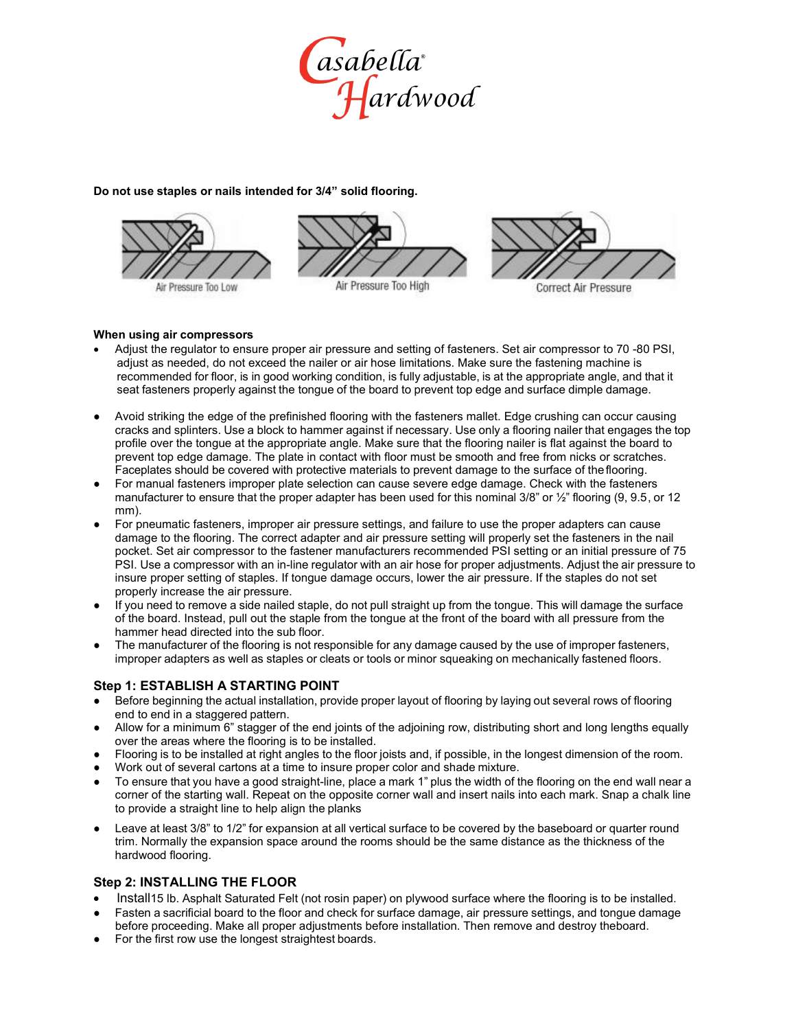

#### **Do not use staples or nails intended for 3/4" solid flooring.**



#### **When using air compressors**

- Adjust the regulator to ensure proper air pressure and setting of fasteners. Set air compressor to 70 -80 PSI, adjust as needed, do not exceed the nailer or air hose limitations. Make sure the fastening machine is recommended for floor, is in good working condition, is fully adjustable, is at the appropriate angle, and that it seat fasteners properly against the tongue of the board to prevent top edge and surface dimple damage.
- Avoid striking the edge of the prefinished flooring with the fasteners mallet. Edge crushing can occur causing cracks and splinters. Use a block to hammer against if necessary. Use only a flooring nailer that engages the top profile over the tongue at the appropriate angle. Make sure that the flooring nailer is flat against the board to prevent top edge damage. The plate in contact with floor must be smooth and free from nicks or scratches. Faceplates should be covered with protective materials to prevent damage to the surface of theflooring.
- For manual fasteners improper plate selection can cause severe edge damage. Check with the fasteners manufacturer to ensure that the proper adapter has been used for this nominal 3/8" or  $\frac{1}{2}$ " flooring (9, 9.5, or 12 mm).
- For pneumatic fasteners, improper air pressure settings, and failure to use the proper adapters can cause damage to the flooring. The correct adapter and air pressure setting will properly set the fasteners in the nail pocket. Set air compressor to the fastener manufacturers recommended PSI setting or an initial pressure of 75 PSI. Use a compressor with an in-line regulator with an air hose for proper adjustments. Adjust the air pressure to insure proper setting of staples. If tongue damage occurs, lower the air pressure. If the staples do not set properly increase the air pressure.
- If you need to remove a side nailed staple, do not pull straight up from the tongue. This will damage the surface of the board. Instead, pull out the staple from the tongue at the front of the board with all pressure from the hammer head directed into the sub floor.
- The manufacturer of the flooring is not responsible for any damage caused by the use of improper fasteners, improper adapters as well as staples or cleats or tools or minor squeaking on mechanically fastened floors.

#### **Step 1: ESTABLISH A STARTING POINT**

- Before beginning the actual installation, provide proper layout of flooring by laying out several rows of flooring end to end in a staggered pattern.
- Allow for a minimum 6" stagger of the end joints of the adjoining row, distributing short and long lengths equally over the areas where the flooring is to be installed.
- Flooring is to be installed at right angles to the floor joists and, if possible, in the longest dimension of the room.
- Work out of several cartons at a time to insure proper color and shade mixture.
- To ensure that you have a good straight-line, place a mark 1" plus the width of the flooring on the end wall near a corner of the starting wall. Repeat on the opposite corner wall and insert nails into each mark. Snap a chalk line to provide a straight line to help align the planks
- Leave at least 3/8" to 1/2" for expansion at all vertical surface to be covered by the baseboard or quarter round trim. Normally the expansion space around the rooms should be the same distance as the thickness of the hardwood flooring.

#### **Step 2: INSTALLING THE FLOOR**

- Install15 lb. Asphalt Saturated Felt (not rosin paper) on plywood surface where the flooring is to be installed.
- Fasten a sacrificial board to the floor and check for surface damage, air pressure settings, and tongue damage before proceeding. Make all proper adjustments before installation. Then remove and destroy theboard.
- For the first row use the longest straightest boards.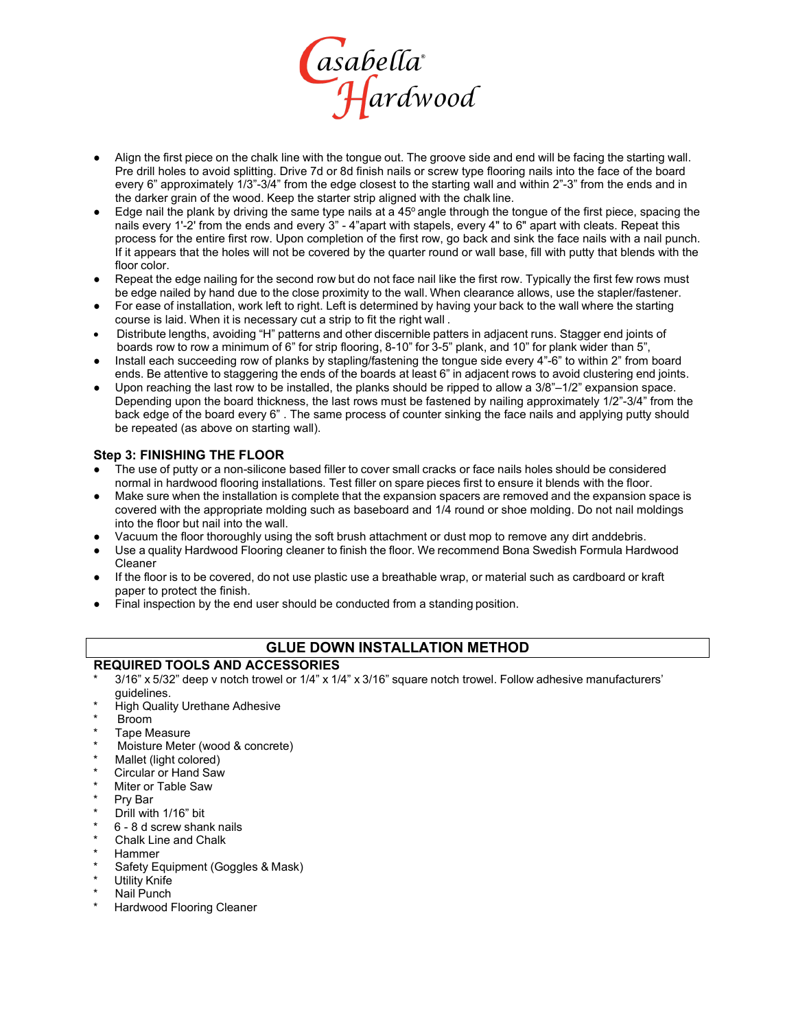

- Align the first piece on the chalk line with the tongue out. The groove side and end will be facing the starting wall. Pre drill holes to avoid splitting. Drive 7d or 8d finish nails or screw type flooring nails into the face of the board every 6" approximately 1/3"-3/4" from the edge closest to the starting wall and within 2"-3" from the ends and in the darker grain of the wood. Keep the starter strip aligned with the chalk line.
- Edge nail the plank by driving the same type nails at a  $45^{\circ}$  angle through the tongue of the first piece, spacing the nails every 1'-2' from the ends and every 3" - 4"apart with stapels, every 4" to 6" apart with cleats. Repeat this process for the entire first row. Upon completion of the first row, go back and sink the face nails with a nail punch. If it appears that the holes will not be covered by the quarter round or wall base, fill with putty that blends with the floor color.
- Repeat the edge nailing for the second row but do not face nail like the first row. Typically the first few rows must be edge nailed by hand due to the close proximity to the wall. When clearance allows, use the stapler/fastener.
- For ease of installation, work left to right. Left is determined by having your back to the wall where the starting course is laid. When it is necessary cut a strip to fit the right wall .
- Distribute lengths, avoiding "H" patterns and other discernible patters in adjacent runs. Stagger end joints of boards row to row a minimum of 6" for strip flooring, 8-10" for 3-5" plank, and 10" for plank wider than 5",
- Install each succeeding row of planks by stapling/fastening the tongue side every 4"-6" to within 2" from board ends. Be attentive to staggering the ends of the boards at least 6" in adjacent rows to avoid clustering end joints.
- Upon reaching the last row to be installed, the planks should be ripped to allow a  $3/8$ " $-1/2$ " expansion space. Depending upon the board thickness, the last rows must be fastened by nailing approximately 1/2"-3/4" from the back edge of the board every 6" . The same process of counter sinking the face nails and applying putty should be repeated (as above on starting wall).

#### **Step 3: FINISHING THE FLOOR**

- The use of putty or a non-silicone based filler to cover small cracks or face nails holes should be considered normal in hardwood flooring installations. Test filler on spare pieces first to ensure it blends with the floor.
- Make sure when the installation is complete that the expansion spacers are removed and the expansion space is covered with the appropriate molding such as baseboard and 1/4 round or shoe molding. Do not nail moldings into the floor but nail into the wall.
- Vacuum the floor thoroughly using the soft brush attachment or dust mop to remove any dirt anddebris.
- Use a quality Hardwood Flooring cleaner to finish the floor. We recommend Bona Swedish Formula Hardwood Cleaner
- If the floor is to be covered, do not use plastic use a breathable wrap, or material such as cardboard or kraft paper to protect the finish.
- Final inspection by the end user should be conducted from a standing position.

#### **GLUE DOWN INSTALLATION METHOD**

#### **REQUIRED TOOLS AND ACCESSORIES**

- 3/16" x 5/32" deep v notch trowel or 1/4" x 1/4" x 3/16" square notch trowel. Follow adhesive manufacturers' guidelines.
- **High Quality Urethane Adhesive**
- **Broom**
- Tape Measure
- Moisture Meter (wood & concrete)
- Mallet (light colored)
- Circular or Hand Saw
- Miter or Table Saw
- Pry Bar
- Drill with 1/16" bit
- 6 8 d screw shank nails
- Chalk Line and Chalk
- **Hammer**
- Safety Equipment (Goggles & Mask)
- Utility Knife
- Nail Punch
- Hardwood Flooring Cleaner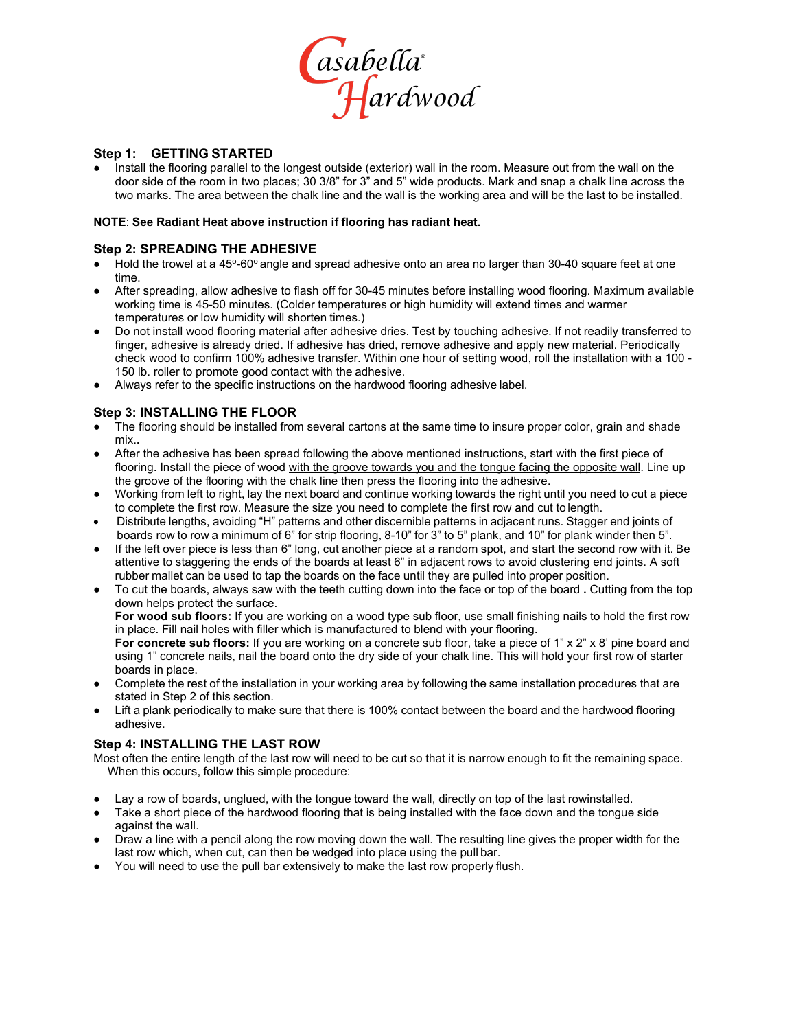

#### **Step 1: GETTING STARTED**

Install the flooring parallel to the longest outside (exterior) wall in the room. Measure out from the wall on the door side of the room in two places; 30 3/8" for 3" and 5" wide products. Mark and snap a chalk line across the two marks. The area between the chalk line and the wall is the working area and will be the last to be installed.

#### **NOTE**: **See Radiant Heat above instruction if flooring has radiant heat.**

#### **Step 2: SPREADING THE ADHESIVE**

- Hold the trowel at a 45°-60° angle and spread adhesive onto an area no larger than 30-40 square feet at one time.
- After spreading, allow adhesive to flash off for 30-45 minutes before installing wood flooring. Maximum available working time is 45-50 minutes. (Colder temperatures or high humidity will extend times and warmer temperatures or low humidity will shorten times.)
- Do not install wood flooring material after adhesive dries. Test by touching adhesive. If not readily transferred to finger, adhesive is already dried. If adhesive has dried, remove adhesive and apply new material. Periodically check wood to confirm 100% adhesive transfer. Within one hour of setting wood, roll the installation with a 100 - 150 lb. roller to promote good contact with the adhesive.
- Always refer to the specific instructions on the hardwood flooring adhesive label.

#### **Step 3: INSTALLING THE FLOOR**

- The flooring should be installed from several cartons at the same time to insure proper color, grain and shade mix.**.**
- After the adhesive has been spread following the above mentioned instructions, start with the first piece of flooring. Install the piece of wood with the groove towards you and the tongue facing the opposite wall. Line up the groove of the flooring with the chalk line then press the flooring into the adhesive.
- Working from left to right, lay the next board and continue working towards the right until you need to cut a piece to complete the first row. Measure the size you need to complete the first row and cut to length.
- Distribute lengths, avoiding "H" patterns and other discernible patterns in adjacent runs. Stagger end joints of boards row to row a minimum of 6" for strip flooring, 8-10" for 3" to 5" plank, and 10" for plank winder then 5".
- If the left over piece is less than 6" long, cut another piece at a random spot, and start the second row with it. Be attentive to staggering the ends of the boards at least 6" in adjacent rows to avoid clustering end joints. A soft rubber mallet can be used to tap the boards on the face until they are pulled into proper position.
- To cut the boards, always saw with the teeth cutting down into the face or top of the board **.** Cutting from the top down helps protect the surface.

**For wood sub floors:** If you are working on a wood type sub floor, use small finishing nails to hold the first row in place. Fill nail holes with filler which is manufactured to blend with your flooring.

**For concrete sub floors:** If you are working on a concrete sub floor, take a piece of 1" x 2" x 8' pine board and using 1" concrete nails, nail the board onto the dry side of your chalk line. This will hold your first row of starter boards in place.

- Complete the rest of the installation in your working area by following the same installation procedures that are stated in Step 2 of this section.
- Lift a plank periodically to make sure that there is 100% contact between the board and the hardwood flooring adhesive.

#### **Step 4: INSTALLING THE LAST ROW**

Most often the entire length of the last row will need to be cut so that it is narrow enough to fit the remaining space. When this occurs, follow this simple procedure:

- Lay a row of boards, unglued, with the tongue toward the wall, directly on top of the last rowinstalled.
- Take a short piece of the hardwood flooring that is being installed with the face down and the tongue side against the wall.
- Draw a line with a pencil along the row moving down the wall. The resulting line gives the proper width for the last row which, when cut, can then be wedged into place using the pull bar.
- You will need to use the pull bar extensively to make the last row properly flush.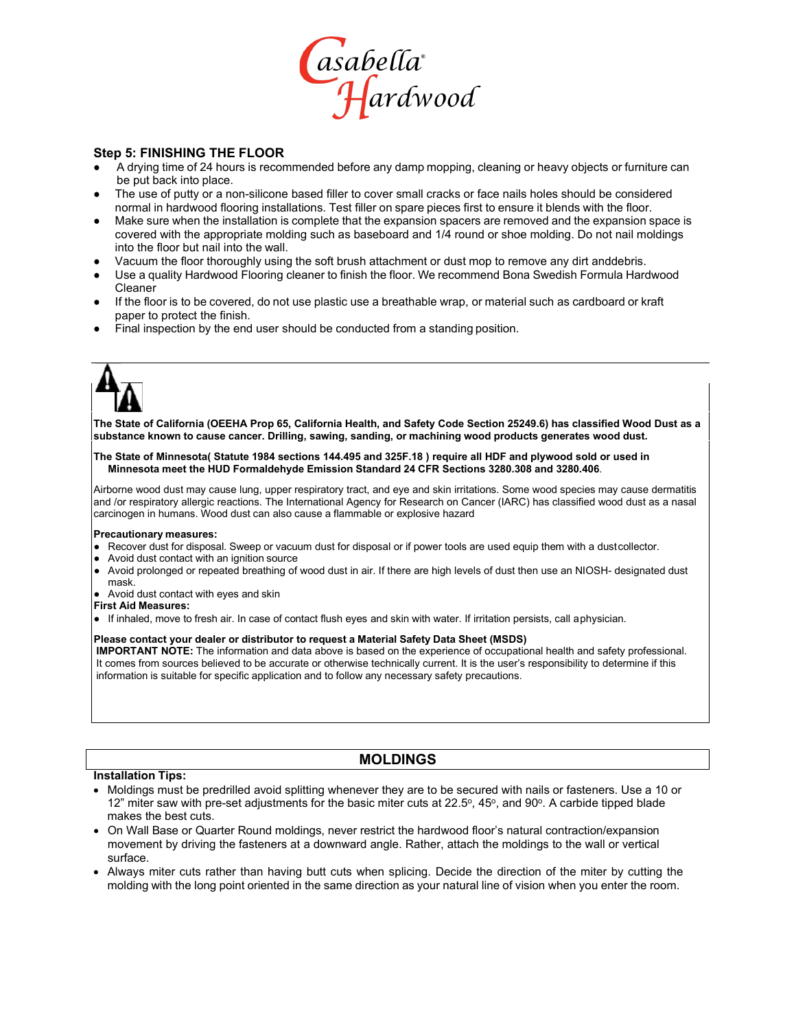

#### **Step 5: FINISHING THE FLOOR**

- A drying time of 24 hours is recommended before any damp mopping, cleaning or heavy objects or furniture can be put back into place.
- The use of putty or a non-silicone based filler to cover small cracks or face nails holes should be considered normal in hardwood flooring installations. Test filler on spare pieces first to ensure it blends with the floor.
- Make sure when the installation is complete that the expansion spacers are removed and the expansion space is covered with the appropriate molding such as baseboard and 1/4 round or shoe molding. Do not nail moldings into the floor but nail into the wall.
- Vacuum the floor thoroughly using the soft brush attachment or dust mop to remove any dirt anddebris.
- Use a quality Hardwood Flooring cleaner to finish the floor. We recommend Bona Swedish Formula Hardwood Cleaner
- If the floor is to be covered, do not use plastic use a breathable wrap, or material such as cardboard or kraft paper to protect the finish.
- Final inspection by the end user should be conducted from a standing position.

**The State of California (OEEHA Prop 65, California Health, and Safety Code Section 25249.6) has classified Wood Dust as a substance known to cause cancer. Drilling, sawing, sanding, or machining wood products generates wood dust.**

#### **The State of Minnesota( Statute 1984 sections 144.495 and 325F.18 ) require all HDF and plywood sold or used in Minnesota meet the HUD Formaldehyde Emission Standard 24 CFR Sections 3280.308 and 3280.406**.

Airborne wood dust may cause lung, upper respiratory tract, and eye and skin irritations. Some wood species may cause dermatitis and /or respiratory allergic reactions. The International Agency for Research on Cancer (IARC) has classified wood dust as a nasal carcinogen in humans. Wood dust can also cause a flammable or explosive hazard

#### **Precautionary measures:**

- Recover dust for disposal. Sweep or vacuum dust for disposal or if power tools are used equip them with a dustcollector.
- Avoid dust contact with an ignition source
- Avoid prolonged or repeated breathing of wood dust in air. If there are high levels of dust then use an NIOSH- designated dust
- mask. ● Avoid dust contact with eyes and skin

#### **First Aid Measures:**

● If inhaled, move to fresh air. In case of contact flush eyes and skin with water. If irritation persists, call aphysician.

#### **Please contact your dealer or distributor to request a Material Safety Data Sheet (MSDS)**

**IMPORTANT NOTE:** The information and data above is based on the experience of occupational health and safety professional. It comes from sources believed to be accurate or otherwise technically current. It is the user's responsibility to determine if this information is suitable for specific application and to follow any necessary safety precautions.

#### **MOLDINGS**

#### **Installation Tips:**

- Moldings must be predrilled avoid splitting whenever they are to be secured with nails or fasteners. Use a 10 or 12" miter saw with pre-set adjustments for the basic miter cuts at 22.5 $\degree$ , 45 $\degree$ , and 90 $\degree$ . A carbide tipped blade makes the best cuts.
- On Wall Base or Quarter Round moldings, never restrict the hardwood floor's natural contraction/expansion movement by driving the fasteners at a downward angle. Rather, attach the moldings to the wall or vertical surface.
- Always miter cuts rather than having butt cuts when splicing. Decide the direction of the miter by cutting the molding with the long point oriented in the same direction as your natural line of vision when you enter the room.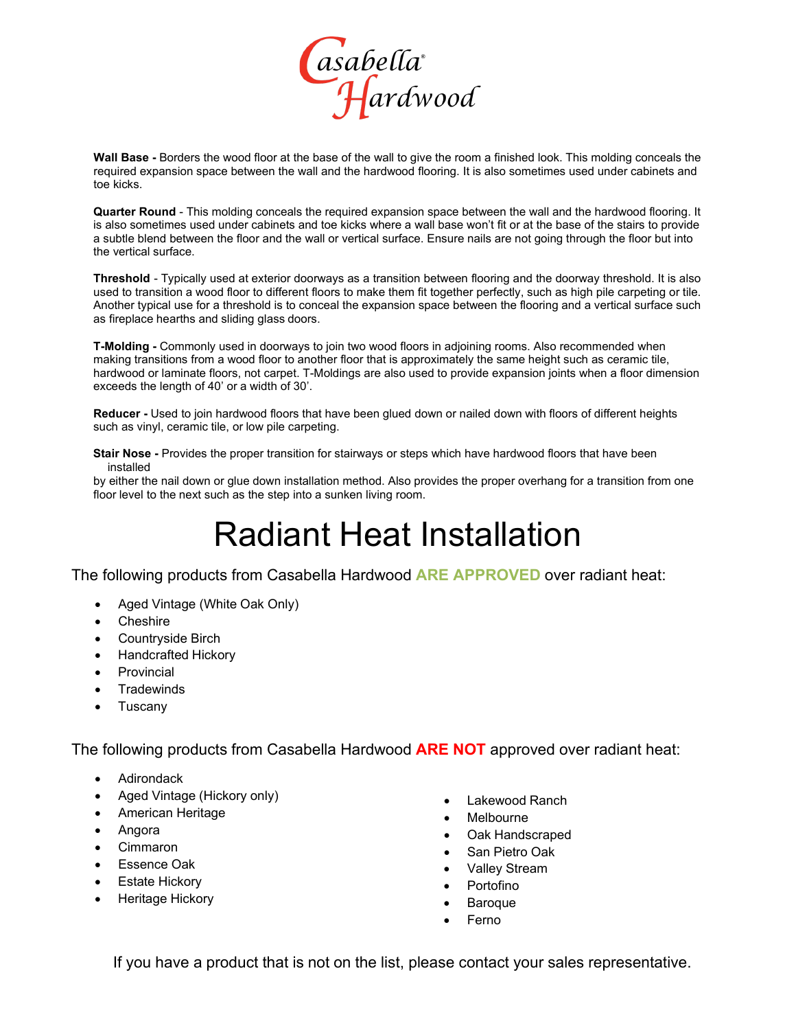

**Wall Base -** Borders the wood floor at the base of the wall to give the room a finished look. This molding conceals the required expansion space between the wall and the hardwood flooring. It is also sometimes used under cabinets and toe kicks.

**Quarter Round** - This molding conceals the required expansion space between the wall and the hardwood flooring. It is also sometimes used under cabinets and toe kicks where a wall base won't fit or at the base of the stairs to provide a subtle blend between the floor and the wall or vertical surface. Ensure nails are not going through the floor but into the vertical surface.

**Threshold** - Typically used at exterior doorways as a transition between flooring and the doorway threshold. It is also used to transition a wood floor to different floors to make them fit together perfectly, such as high pile carpeting or tile. Another typical use for a threshold is to conceal the expansion space between the flooring and a vertical surface such as fireplace hearths and sliding glass doors.

**T-Molding -** Commonly used in doorways to join two wood floors in adjoining rooms. Also recommended when making transitions from a wood floor to another floor that is approximately the same height such as ceramic tile, hardwood or laminate floors, not carpet. T-Moldings are also used to provide expansion joints when a floor dimension exceeds the length of 40' or a width of 30'.

**Reducer -** Used to join hardwood floors that have been glued down or nailed down with floors of different heights such as vinyl, ceramic tile, or low pile carpeting.

**Stair Nose -** Provides the proper transition for stairways or steps which have hardwood floors that have been installed

by either the nail down or glue down installation method. Also provides the proper overhang for a transition from one floor level to the next such as the step into a sunken living room.

# Radiant Heat Installation

The following products from Casabella Hardwood **ARE APPROVED** over radiant heat:

- Aged Vintage (White Oak Only)
- **Cheshire**
- Countryside Birch
- Handcrafted Hickory
- **Provincial**
- **Tradewinds**
- **Tuscany**

The following products from Casabella Hardwood **ARE NOT** approved over radiant heat:

- Adirondack
- Aged Vintage (Hickory only)
- American Heritage
- Angora
- Cimmaron
- Essence Oak
- **Estate Hickory**
- Heritage Hickory
- Lakewood Ranch
- **Melbourne**
- Oak Handscraped
- San Pietro Oak
- Valley Stream
- **Portofino**
- Baroque
- **Ferno**

If you have a product that is not on the list, please contact your sales representative.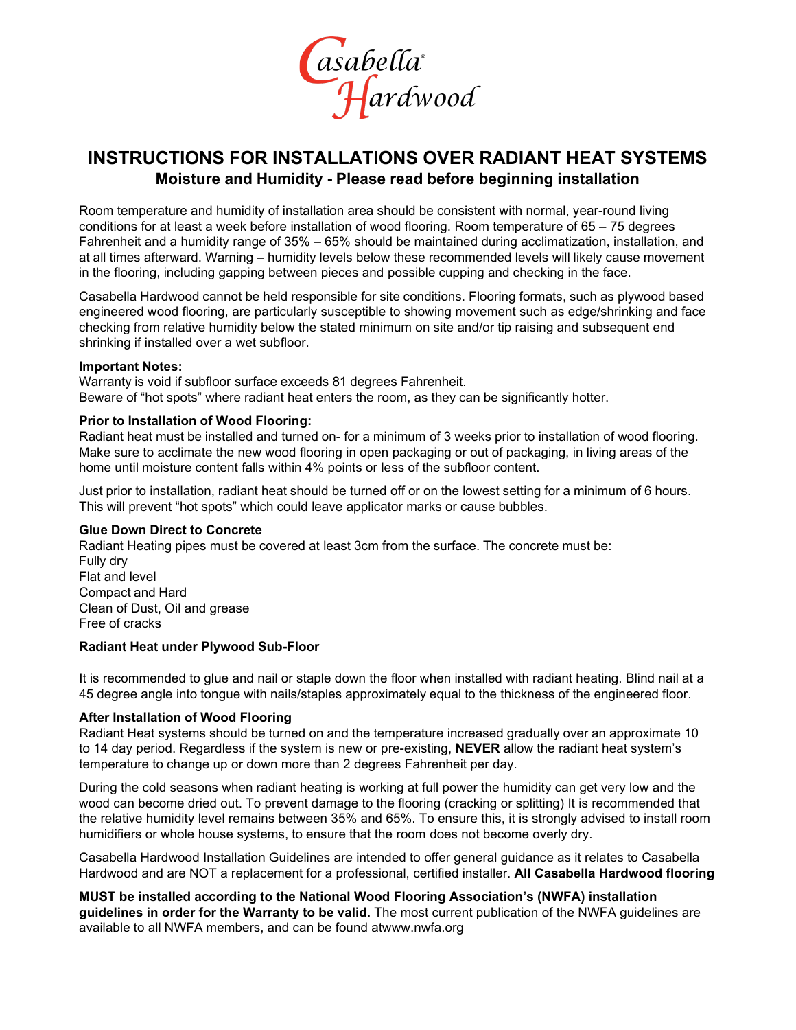

### **INSTRUCTIONS FOR INSTALLATIONS OVER RADIANT HEAT SYSTEMS Moisture and Humidity - Please read before beginning installation**

Room temperature and humidity of installation area should be consistent with normal, year-round living conditions for at least a week before installation of wood flooring. Room temperature of 65 – 75 degrees Fahrenheit and a humidity range of 35% – 65% should be maintained during acclimatization, installation, and at all times afterward. Warning – humidity levels below these recommended levels will likely cause movement in the flooring, including gapping between pieces and possible cupping and checking in the face.

Casabella Hardwood cannot be held responsible for site conditions. Flooring formats, such as plywood based engineered wood flooring, are particularly susceptible to showing movement such as edge/shrinking and face checking from relative humidity below the stated minimum on site and/or tip raising and subsequent end shrinking if installed over a wet subfloor.

#### **Important Notes:**

Warranty is void if subfloor surface exceeds 81 degrees Fahrenheit. Beware of "hot spots" where radiant heat enters the room, as they can be significantly hotter.

#### **Prior to Installation of Wood Flooring:**

Radiant heat must be installed and turned on- for a minimum of 3 weeks prior to installation of wood flooring. Make sure to acclimate the new wood flooring in open packaging or out of packaging, in living areas of the home until moisture content falls within 4% points or less of the subfloor content.

Just prior to installation, radiant heat should be turned off or on the lowest setting for a minimum of 6 hours. This will prevent "hot spots" which could leave applicator marks or cause bubbles.

#### **Glue Down Direct to Concrete**

Radiant Heating pipes must be covered at least 3cm from the surface. The concrete must be: Fully dry Flat and level Compact and Hard Clean of Dust, Oil and grease Free of cracks

#### **Radiant Heat under Plywood Sub-Floor**

It is recommended to glue and nail or staple down the floor when installed with radiant heating. Blind nail at a 45 degree angle into tongue with nails/staples approximately equal to the thickness of the engineered floor.

#### **After Installation of Wood Flooring**

Radiant Heat systems should be turned on and the temperature increased gradually over an approximate 10 to 14 day period. Regardless if the system is new or pre-existing, **NEVER** allow the radiant heat system's temperature to change up or down more than 2 degrees Fahrenheit per day.

During the cold seasons when radiant heating is working at full power the humidity can get very low and the wood can become dried out. To prevent damage to the flooring (cracking or splitting) It is recommended that the relative humidity level remains between 35% and 65%. To ensure this, it is strongly advised to install room humidifiers or whole house systems, to ensure that the room does not become overly dry.

Casabella Hardwood Installation Guidelines are intended to offer general guidance as it relates to Casabella Hardwood and are NOT a replacement for a professional, certified installer. **All Casabella Hardwood flooring**

**MUST be installed according to the National Wood Flooring Association's (NWFA) installation guidelines in order for the Warranty to be valid.** The most current publication of the NWFA guidelines are available to all NWFA members, and can be found a[twww.nwfa.org](http://www.nwfa.org/)